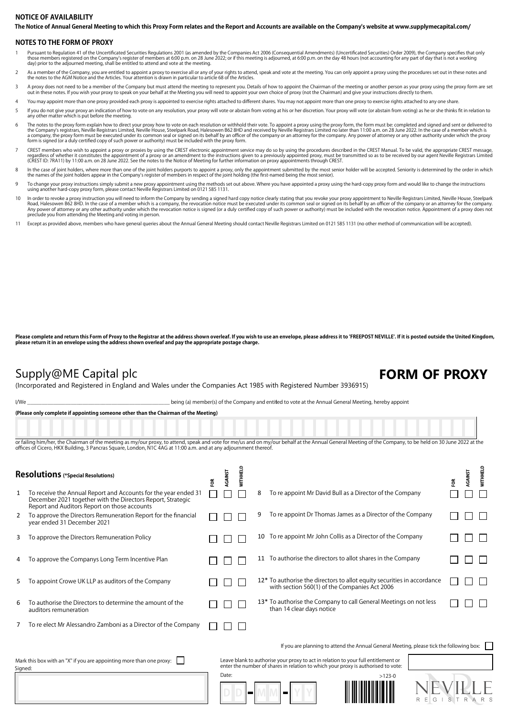### The Notice of Annual General Meeting to which this Proxy Form relates and the Report and Accounts are available on the Company's website at www.supplymecapital.com/ **NOTICE OF AVAILABILITY**

### **NOTES TO THE FORM OF PROXY**

- Pursuant to Regulation 41 of the Uncertificated Securities Regulations 2001 (as amended by the Companies Act 2006 (Consequential Amendments) (Uncertificated Securities) Order 2009), the Company specifies that only<br>those me
- As a member of the Company, you are entitled to appoint a proxy to exercise all or any of your rights to attend, speak and vote at the meeting. You can only appoint a proxy using the procedures set out in these notes and<br>t
- 3 A proxy does not need to be a member of the Company but must attend the meeting to represent you. Details of how to appoint the Chairman of the meeting or another person as your proxy using the proxy form are set out in these notes. If you wish your proxy to speak on your behalf at the Meeting you will need to appoint your own choice of proxy (not the Chairman) and give your instructions directly to them.
- You may appoint more than one proxy provided each proxy is appointed to exercise rights attached to different shares. You may not appoint more than one proxy to exercise rights attached to any one share
- 5 If you do not give your proxy an indication of how to vote on any resolution, your proxy will vote or abstain from voting at his or her discretion. Your proxy will vote (or abstain from voting) as he or she thinks fit in any other matter which is put before the meeting.
- The notes to the proxy form explain how to direct your proxy how to vote on each resolution or withhold their vote. To appoint a proxy using the proxy form, the form must be: completed and signed and sent or delivered to t
- CREST members who wish to appoint a proxy or proxies by using the CREST electronic appointment service may do so by using the procedures described in the CREST Manual. To be valid, the appropriate CREST message,<br>regardless (CREST ID: 7RA11) by 11:00 a.m. on 28 June 2022. See the notes to the Notice of Meeting for further information on proxy appointments through CREST.
- ln the case of joint holders, where more than one of the joint holders purports to appoint a proxy, only the appointment submitted by the most senior holder will be accepted. Seniority is determined by the order in which<br>t
- To change your proxy instructions simply submit a new proxy appointment using the methods set out above. Where you have appointed a proxy using the hard-copy proxy form and would like to change the instructions using anoth
- In order to revoke a proxy instruction you will need to inform the Company by sending a signed hard copy notice clearly stating that you revoke your proxy appointment to Neville Registrars Limited, Neville House, Steelpark Road, Halesowen B62 8HD. In the case of a member which is a company, the revocation notice must be executed under its common seal or signed on its behalf by an officer of the company or an attorney for the company.<br>Any pow
- Except as provided above, members who have general queries about the Annual General Meeting should contact Neville Registrars Limited on 0121 585 1131 (no other method of communication will be accepted).

Please complete and return this Form of Proxy to the Registrar at the address shown overleaf. If you wish to use an envelope, please address it to 'FREEPOST NEVILLE'. If it is posted outside the United Kingdom, **please return it in an envelope using the address shown overleaf and pay the appropriate postage charge.**

## Supply@ME Capital plc **FORM OF PROXY**

(Incorporated and Registered in England and Wales under the Companies Act 1985 with Registered Number 3936915)

I/We state of the Company and entitled to vote at the Annual General Meeting, hereby appoint

**(Please only complete if appointing someone other than the Chairman of the Meeting)**

or failing him/her, the Chairman of the meeting as my/our proxy, to attend, speak and yote for me/us and on my/our behalf at the Annual General Meeting of the Company, to be held on 30 June 2022 at the offices of Cicero, HKX Building, 3 Pancras Square, London, N1C 4AG at 11:00 a.m. and at any adjournment there

| <b>Resolutions</b> (*Special Resolutions)                                       |                                                                                                                                                                                |   | RGAINST | <b>NITHHELD</b> |   |                                                                                                                                                                         | ă | RGAINST | <b>WITHHELD</b> |
|---------------------------------------------------------------------------------|--------------------------------------------------------------------------------------------------------------------------------------------------------------------------------|---|---------|-----------------|---|-------------------------------------------------------------------------------------------------------------------------------------------------------------------------|---|---------|-----------------|
| 1                                                                               | To receive the Annual Report and Accounts for the year ended 31<br>December 2021 together with the Directors Report, Strategic<br>Report and Auditors Report on those accounts | ξ |         |                 | 8 | To re appoint Mr David Bull as a Director of the Company                                                                                                                |   |         |                 |
| 2                                                                               | To approve the Directors Remuneration Report for the financial<br>year ended 31 December 2021                                                                                  |   |         |                 |   | To re appoint Dr Thomas James as a Director of the Company                                                                                                              |   |         |                 |
| 3                                                                               | To approve the Directors Remuneration Policy                                                                                                                                   |   |         |                 |   | 10 To re appoint Mr John Collis as a Director of the Company                                                                                                            |   |         |                 |
| 4                                                                               | To approve the Companys Long Term Incentive Plan                                                                                                                               |   |         |                 |   | 11 To authorise the directors to allot shares in the Company                                                                                                            |   |         |                 |
| 5                                                                               | To appoint Crowe UK LLP as auditors of the Company                                                                                                                             |   |         |                 |   | 12* To authorise the directors to allot equity securities in accordance<br>with section 560(1) of the Companies Act 2006                                                |   |         |                 |
| 6                                                                               | To authorise the Directors to determine the amount of the<br>auditors remuneration                                                                                             |   |         |                 |   | 13* To authorise the Company to call General Meetings on not less<br>than 14 clear days notice                                                                          |   |         |                 |
|                                                                                 | To re elect Mr Alessandro Zamboni as a Director of the Company                                                                                                                 |   |         |                 |   |                                                                                                                                                                         |   |         |                 |
|                                                                                 |                                                                                                                                                                                |   |         |                 |   | If you are planning to attend the Annual General Meeting, please tick the following box:                                                                                |   |         |                 |
| Mark this box with an "X" if you are appointing more than one proxy:<br>Signed: |                                                                                                                                                                                |   |         |                 |   | Leave blank to authorise your proxy to act in relation to your full entitlement or<br>enter the number of shares in relation to which your proxy is authorised to vote: |   |         |                 |
|                                                                                 |                                                                                                                                                                                |   | Date:   |                 |   | $>123-0$                                                                                                                                                                |   |         |                 |